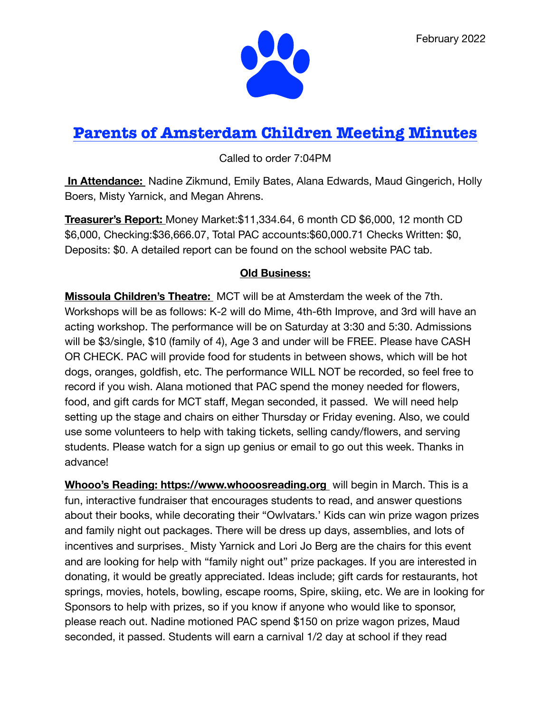

# **Parents of Amsterdam Children Meeting Minutes**

Called to order 7:04PM

 **In Attendance:** Nadine Zikmund, Emily Bates, Alana Edwards, Maud Gingerich, Holly Boers, Misty Yarnick, and Megan Ahrens.

**Treasurer's Report:** Money Market:\$11,334.64, 6 month CD \$6,000, 12 month CD \$6,000, Checking:\$36,666.07, Total PAC accounts:\$60,000.71 Checks Written: \$0, Deposits: \$0. A detailed report can be found on the school website PAC tab.

## **Old Business:**

**Missoula Children's Theatre:** MCT will be at Amsterdam the week of the 7th. Workshops will be as follows: K-2 will do Mime, 4th-6th Improve, and 3rd will have an acting workshop. The performance will be on Saturday at 3:30 and 5:30. Admissions will be \$3/single, \$10 (family of 4), Age 3 and under will be FREE. Please have CASH OR CHECK. PAC will provide food for students in between shows, which will be hot dogs, oranges, goldfish, etc. The performance WILL NOT be recorded, so feel free to record if you wish. Alana motioned that PAC spend the money needed for flowers, food, and gift cards for MCT staff, Megan seconded, it passed. We will need help setting up the stage and chairs on either Thursday or Friday evening. Also, we could use some volunteers to help with taking tickets, selling candy/flowers, and serving students. Please watch for a sign up genius or email to go out this week. Thanks in advance!

**Whooo's Reading: <https://www.whooosreading.org>**will begin in March. This is a fun, interactive fundraiser that encourages students to read, and answer questions about their books, while decorating their "Owlvatars.' Kids can win prize wagon prizes and family night out packages. There will be dress up days, assemblies, and lots of incentives and surprises. Misty Yarnick and Lori Jo Berg are the chairs for this event and are looking for help with "family night out" prize packages. If you are interested in donating, it would be greatly appreciated. Ideas include; gift cards for restaurants, hot springs, movies, hotels, bowling, escape rooms, Spire, skiing, etc. We are in looking for Sponsors to help with prizes, so if you know if anyone who would like to sponsor, please reach out. Nadine motioned PAC spend \$150 on prize wagon prizes, Maud seconded, it passed. Students will earn a carnival 1/2 day at school if they read